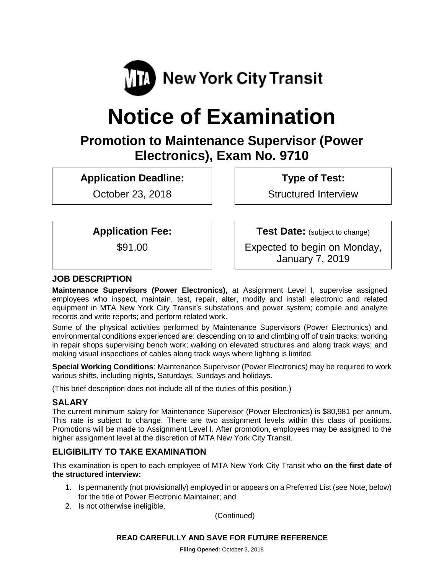

# **Notice of Examination**

# **Promotion to Maintenance Supervisor (Power Electronics), Exam No. 9710**

**Application Deadline:**

October 23, 2018

**Type of Test:** 

Structured Interview

**Application Fee:**

\$91.00

**Test Date:** (subject to change) Expected to begin on Monday, January 7, 2019

## **JOB DESCRIPTION**

**Maintenance Supervisors (Power Electronics),** at Assignment Level I, supervise assigned employees who inspect, maintain, test, repair, alter, modify and install electronic and related equipment in MTA New York City Transit's substations and power system; compile and analyze records and write reports; and perform related work.

Some of the physical activities performed by Maintenance Supervisors (Power Electronics) and environmental conditions experienced are: descending on to and climbing off of train tracks; working in repair shops supervising bench work; walking on elevated structures and along track ways; and making visual inspections of cables along track ways where lighting is limited.

**Special Working Conditions**: Maintenance Supervisor (Power Electronics) may be required to work various shifts, including nights, Saturdays, Sundays and holidays.

(This brief description does not include all of the duties of this position.)

## **SALARY**

The current minimum salary for Maintenance Supervisor (Power Electronics) is \$80,981 per annum. This rate is subject to change. There are two assignment levels within this class of positions. Promotions will be made to Assignment Level I. After promotion, employees may be assigned to the higher assignment level at the discretion of MTA New York City Transit.

# **ELIGIBILITY TO TAKE EXAMINATION**

This examination is open to each employee of MTA New York City Transit who **on the first date of the structured interview:**

- 1. Is permanently (not provisionally) employed in or appears on a Preferred List (see Note, below) for the title of Power Electronic Maintainer; and
- 2. Is not otherwise ineligible.

(Continued)

#### **READ CAREFULLY AND SAVE FOR FUTURE REFERENCE**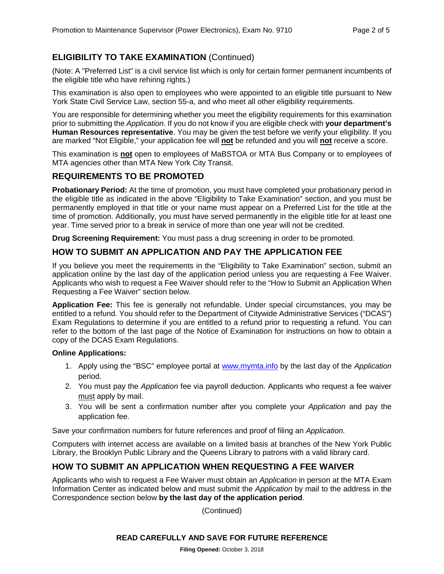# **ELIGIBILITY TO TAKE EXAMINATION** (Continued)

(Note: A "Preferred List" is a civil service list which is only for certain former permanent incumbents of the eligible title who have rehiring rights.)

This examination is also open to employees who were appointed to an eligible title pursuant to New York State Civil Service Law, section 55-a, and who meet all other eligibility requirements.

You are responsible for determining whether you meet the eligibility requirements for this examination prior to submitting the *Application*. If you do not know if you are eligible check with **your department's Human Resources representative**. You may be given the test before we verify your eligibility. If you are marked "Not Eligible," your application fee will **not** be refunded and you will **not** receive a score.

This examination is **not** open to employees of MaBSTOA or MTA Bus Company or to employees of MTA agencies other than MTA New York City Transit.

# **REQUIREMENTS TO BE PROMOTED**

**Probationary Period:** At the time of promotion, you must have completed your probationary period in the eligible title as indicated in the above "Eligibility to Take Examination" section, and you must be permanently employed in that title or your name must appear on a Preferred List for the title at the time of promotion. Additionally, you must have served permanently in the eligible title for at least one year. Time served prior to a break in service of more than one year will not be credited.

**Drug Screening Requirement:** You must pass a drug screening in order to be promoted.

# **HOW TO SUBMIT AN APPLICATION AND PAY THE APPLICATION FEE**

If you believe you meet the requirements in the "Eligibility to Take Examination" section, submit an application online by the last day of the application period unless you are requesting a Fee Waiver. Applicants who wish to request a Fee Waiver should refer to the "How to Submit an Application When Requesting a Fee Waiver" section below.

**Application Fee:** This fee is generally not refundable. Under special circumstances, you may be entitled to a refund. You should refer to the Department of Citywide Administrative Services ("DCAS") Exam Regulations to determine if you are entitled to a refund prior to requesting a refund. You can refer to the bottom of the last page of the Notice of Examination for instructions on how to obtain a copy of the DCAS Exam Regulations.

#### **Online Applications:**

- 1. Apply using the "BSC" employee portal at [www.mymta.info](http://www.mymta.info/) by the last day of the *Application*  period.
- 2. You must pay the *Application* fee via payroll deduction. Applicants who request a fee waiver must apply by mail.
- 3. You will be sent a confirmation number after you complete your *Application* and pay the application fee.

Save your confirmation numbers for future references and proof of filing an *Application.*

Computers with internet access are available on a limited basis at branches of the New York Public Library, the Brooklyn Public Library and the Queens Library to patrons with a valid library card.

# **HOW TO SUBMIT AN APPLICATION WHEN REQUESTING A FEE WAIVER**

Applicants who wish to request a Fee Waiver must obtain an *Application* in person at the MTA Exam Information Center as indicated below and must submit the *Application* by mail to the address in the Correspondence section below **by the last day of the application period**.

(Continued)

#### **READ CAREFULLY AND SAVE FOR FUTURE REFERENCE**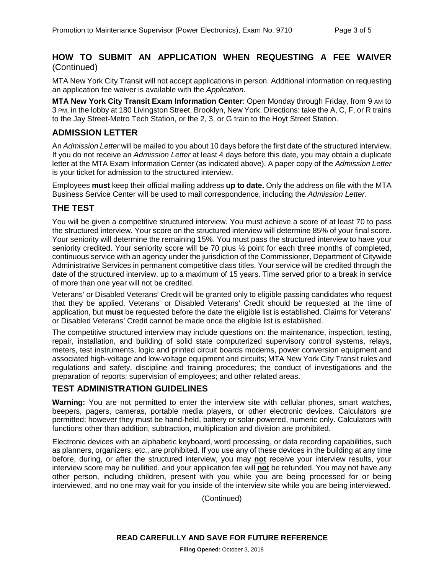#### **HOW TO SUBMIT AN APPLICATION WHEN REQUESTING A FEE WAIVER** (Continued)

MTA New York City Transit will not accept applications in person. Additional information on requesting an application fee waiver is available with the *Application*.

**MTA New York City Transit Exam Information Center**: Open Monday through Friday, from 9 AM to 3 PM, in the lobby at 180 Livingston Street, Brooklyn, New York. Directions: take the A, C, F, or R trains to the Jay Street-Metro Tech Station, or the 2, 3, or G train to the Hoyt Street Station.

#### **ADMISSION LETTER**

An *Admission Letter* will be mailed to you about 10 days before the first date of the structured interview. If you do not receive an *Admission Letter* at least 4 days before this date, you may obtain a duplicate letter at the MTA Exam Information Center (as indicated above). A paper copy of the *Admission Letter* is your ticket for admission to the structured interview.

Employees **must** keep their official mailing address **up to date.** Only the address on file with the MTA Business Service Center will be used to mail correspondence, including the *Admission Letter.*

#### **THE TEST**

You will be given a competitive structured interview. You must achieve a score of at least 70 to pass the structured interview. Your score on the structured interview will determine 85% of your final score. Your seniority will determine the remaining 15%. You must pass the structured interview to have your seniority credited. Your seniority score will be 70 plus ½ point for each three months of completed, continuous service with an agency under the jurisdiction of the Commissioner, Department of Citywide Administrative Services in permanent competitive class titles. Your service will be credited through the date of the structured interview, up to a maximum of 15 years. Time served prior to a break in service of more than one year will not be credited.

Veterans' or Disabled Veterans' Credit will be granted only to eligible passing candidates who request that they be applied. Veterans' or Disabled Veterans' Credit should be requested at the time of application, but **must** be requested before the date the eligible list is established. Claims for Veterans' or Disabled Veterans' Credit cannot be made once the eligible list is established.

The competitive structured interview may include questions on: the maintenance, inspection, testing, repair, installation, and building of solid state computerized supervisory control systems, relays, meters, test instruments, logic and printed circuit boards modems, power conversion equipment and associated high-voltage and low-voltage equipment and circuits; MTA New York City Transit rules and regulations and safety, discipline and training procedures; the conduct of investigations and the preparation of reports; supervision of employees; and other related areas.

#### **TEST ADMINISTRATION GUIDELINES**

**Warning:** You are not permitted to enter the interview site with cellular phones, smart watches, beepers, pagers, cameras, portable media players, or other electronic devices. Calculators are permitted; however they must be hand-held, battery or solar-powered, numeric only. Calculators with functions other than addition, subtraction, multiplication and division are prohibited.

Electronic devices with an alphabetic keyboard, word processing, or data recording capabilities, such as planners, organizers, etc., are prohibited. If you use any of these devices in the building at any time before, during, or after the structured interview, you may **not** receive your interview results, your interview score may be nullified, and your application fee will **not** be refunded. You may not have any other person, including children, present with you while you are being processed for or being interviewed, and no one may wait for you inside of the interview site while you are being interviewed.

(Continued)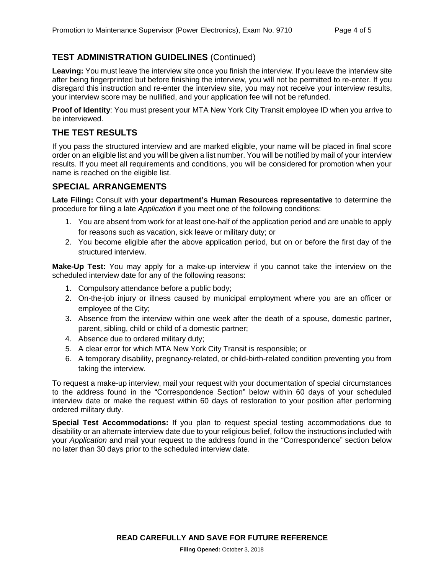# **TEST ADMINISTRATION GUIDELINES** (Continued)

Leaving: You must leave the interview site once you finish the interview. If you leave the interview site after being fingerprinted but before finishing the interview, you will not be permitted to re-enter. If you disregard this instruction and re-enter the interview site, you may not receive your interview results, your interview score may be nullified, and your application fee will not be refunded.

**Proof of Identity**: You must present your MTA New York City Transit employee ID when you arrive to be interviewed.

#### **THE TEST RESULTS**

If you pass the structured interview and are marked eligible, your name will be placed in final score order on an eligible list and you will be given a list number. You will be notified by mail of your interview results. If you meet all requirements and conditions, you will be considered for promotion when your name is reached on the eligible list.

#### **SPECIAL ARRANGEMENTS**

**Late Filing:** Consult with **your department's Human Resources representative** to determine the procedure for filing a late *Application* if you meet one of the following conditions:

- 1. You are absent from work for at least one-half of the application period and are unable to apply for reasons such as vacation, sick leave or military duty; or
- 2. You become eligible after the above application period, but on or before the first day of the structured interview.

**Make-Up Test:** You may apply for a make-up interview if you cannot take the interview on the scheduled interview date for any of the following reasons:

- 1. Compulsory attendance before a public body;
- 2. On-the-job injury or illness caused by municipal employment where you are an officer or employee of the City;
- 3. Absence from the interview within one week after the death of a spouse, domestic partner, parent, sibling, child or child of a domestic partner;
- 4. Absence due to ordered military duty;
- 5. A clear error for which MTA New York City Transit is responsible; or
- 6. A temporary disability, pregnancy-related, or child-birth-related condition preventing you from taking the interview.

To request a make-up interview, mail your request with your documentation of special circumstances to the address found in the "Correspondence Section" below within 60 days of your scheduled interview date or make the request within 60 days of restoration to your position after performing ordered military duty.

**Special Test Accommodations:** If you plan to request special testing accommodations due to disability or an alternate interview date due to your religious belief, follow the instructions included with your *Application* and mail your request to the address found in the "Correspondence" section below no later than 30 days prior to the scheduled interview date.

**READ CAREFULLY AND SAVE FOR FUTURE REFERENCE**